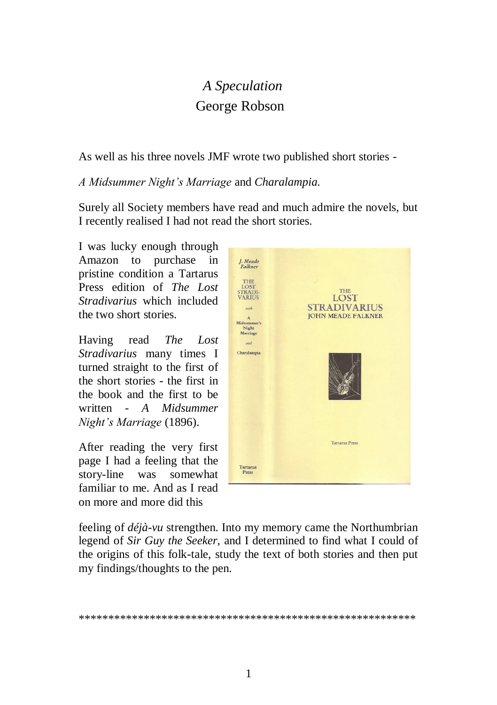# *A Speculation* George Robson

As well as his three novels JMF wrote two published short stories -

*A Midsummer Night's Marriage* and *Charalampia.*

Surely all Society members have read and much admire the novels, but I recently realised I had not read the short stories.

I was lucky enough through Amazon to purchase in pristine condition a Tartarus Press edition of *The Lost Stradivarius* which included the two short stories.

Having read *The Lost Stradivarius* many times I turned straight to the first of the short stories - the first in the book and the first to be written - *A Midsummer Night's Marriage* (1896).

After reading the very first page I had a feeling that the story-line was somewhat familiar to me. And as I read on more and more did this



feeling of *déjà-vu* strengthen. Into my memory came the Northumbrian legend of *Sir Guy the Seeker,* and I determined to find what I could of the origins of this folk-tale, study the text of both stories and then put my findings/thoughts to the pen.

\*\*\*\*\*\*\*\*\*\*\*\*\*\*\*\*\*\*\*\*\*\*\*\*\*\*\*\*\*\*\*\*\*\*\*\*\*\*\*\*\*\*\*\*\*\*\*\*\*\*\*\*\*\*\*\*\*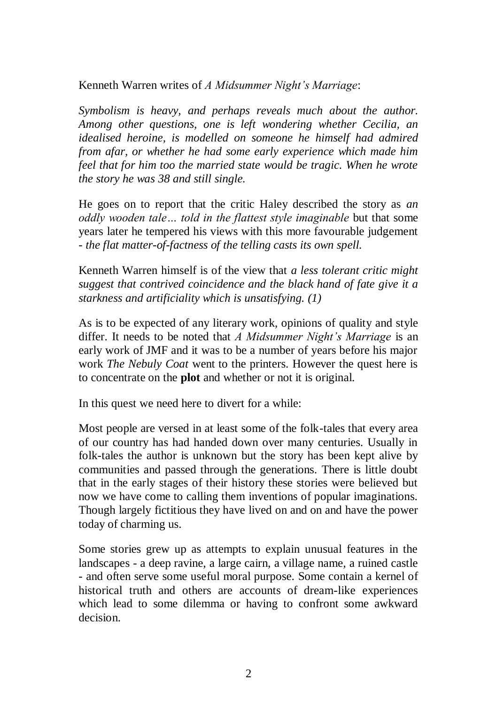Kenneth Warren writes of *A Midsummer Night's Marriage*:

*Symbolism is heavy, and perhaps reveals much about the author. Among other questions, one is left wondering whether Cecilia, an idealised heroine, is modelled on someone he himself had admired from afar, or whether he had some early experience which made him feel that for him too the married state would be tragic. When he wrote the story he was 38 and still single.*

He goes on to report that the critic Haley described the story as *an oddly wooden tale… told in the flattest style imaginable* but that some years later he tempered his views with this more favourable judgement - *the flat matter-of-factness of the telling casts its own spell.*

Kenneth Warren himself is of the view that *a less tolerant critic might suggest that contrived coincidence and the black hand of fate give it a starkness and artificiality which is unsatisfying. (1)*

As is to be expected of any literary work, opinions of quality and style differ. It needs to be noted that *A Midsummer Night's Marriage* is an early work of JMF and it was to be a number of years before his major work *The Nebuly Coat* went to the printers. However the quest here is to concentrate on the **plot** and whether or not it is original.

In this quest we need here to divert for a while:

Most people are versed in at least some of the folk-tales that every area of our country has had handed down over many centuries. Usually in folk-tales the author is unknown but the story has been kept alive by communities and passed through the generations. There is little doubt that in the early stages of their history these stories were believed but now we have come to calling them inventions of popular imaginations. Though largely fictitious they have lived on and on and have the power today of charming us.

Some stories grew up as attempts to explain unusual features in the landscapes - a deep ravine, a large cairn, a village name, a ruined castle - and often serve some useful moral purpose. Some contain a kernel of historical truth and others are accounts of dream-like experiences which lead to some dilemma or having to confront some awkward decision.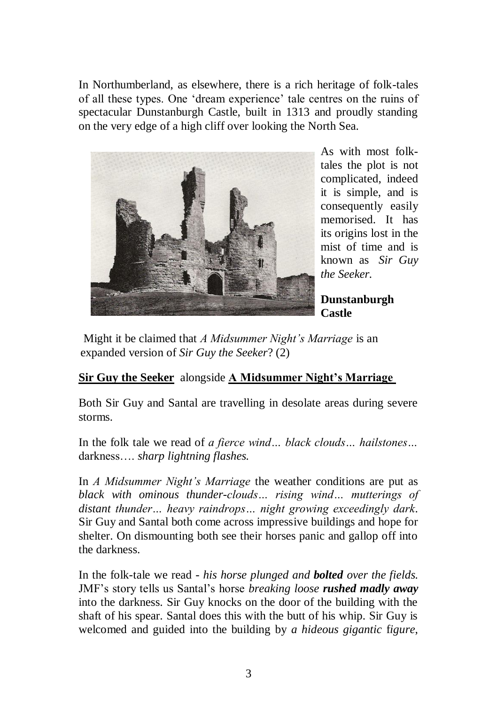In Northumberland, as elsewhere, there is a rich heritage of folk-tales of all these types. One 'dream experience' tale centres on the ruins of spectacular Dunstanburgh Castle, built in 1313 and proudly standing on the very edge of a high cliff over looking the North Sea.



As with most folktales the plot is not complicated, indeed it is simple, and is consequently easily memorised. It has its origins lost in the mist of time and is known as *Sir Guy the Seeker.*

**Dunstanburgh Castle**

Might it be claimed that *A Midsummer Night's Marriage* is an expanded version of *Sir Guy the Seeker*? (2)

## **Sir Guy the Seeker** alongside **A Midsummer Night's Marriage**

Both Sir Guy and Santal are travelling in desolate areas during severe storms.

In the folk tale we read of *a fierce wind… black clouds… hailstones…* darkness…. *sharp lightning flashes.* 

In *A Midsummer Night's Marriage* the weather conditions are put as *black with ominous thunder-clouds… rising wind… mutterings of distant thunder… heavy raindrops… night growing exceedingly dark*. Sir Guy and Santal both come across impressive buildings and hope for shelter. On dismounting both see their horses panic and gallop off into the darkness.

In the folk-tale we read - *his horse plunged and bolted over the fields.* JMF's story tells us Santal's horse *breaking loose rushed madly away*  into the darkness. Sir Guy knocks on the door of the building with the shaft of his spear. Santal does this with the butt of his whip. Sir Guy is welcomed and guided into the building by *a hideous gigantic* f*igure*,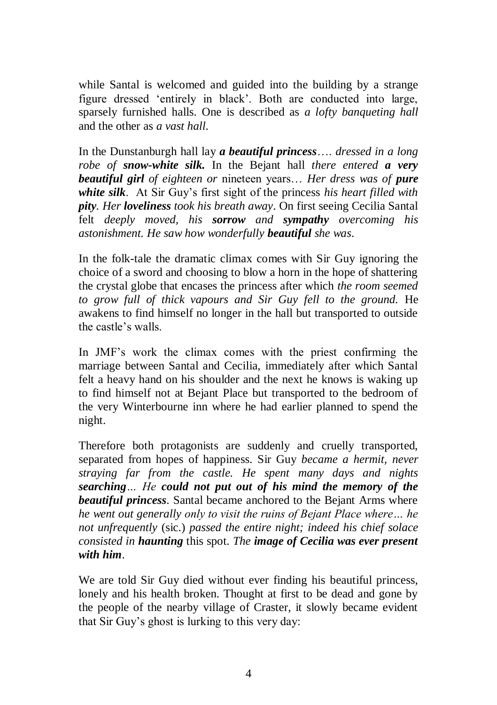while Santal is welcomed and guided into the building by a strange figure dressed 'entirely in black'. Both are conducted into large, sparsely furnished halls. One is described as *a lofty banqueting hall* and the other as *a vast hall*.

In the Dunstanburgh hall lay *a beautiful princess*…. *dressed in a long robe of snow-white silk.* In the Bejant hall *there entered a very beautiful girl of eighteen or* nineteen years… *Her dress was of pure white silk*. At Sir Guy's first sight of the princess *his heart filled with pity. Her loveliness took his breath away*. On first seeing Cecilia Santal felt *deeply moved, his sorrow and sympathy overcoming his astonishment. He saw how wonderfully beautiful she was*.

In the folk-tale the dramatic climax comes with Sir Guy ignoring the choice of a sword and choosing to blow a horn in the hope of shattering the crystal globe that encases the princess after which *the room seemed to grow full of thick vapours and Sir Guy fell to the ground.* He awakens to find himself no longer in the hall but transported to outside the castle's walls.

In JMF's work the climax comes with the priest confirming the marriage between Santal and Cecilia, immediately after which Santal felt a heavy hand on his shoulder and the next he knows is waking up to find himself not at Bejant Place but transported to the bedroom of the very Winterbourne inn where he had earlier planned to spend the night.

Therefore both protagonists are suddenly and cruelly transported, separated from hopes of happiness. Sir Guy *became a hermit, never straying far from the castle. He spent many days and nights searching… He could not put out of his mind the memory of the beautiful princess*. Santal became anchored to the Bejant Arms where *he went out generally only to visit the ruins of Bejant Place where… he not unfrequently* (sic.) *passed the entire night; indeed his chief solace consisted in haunting* this spot. *The image of Cecilia was ever present with him*.

We are told Sir Guy died without ever finding his beautiful princess, lonely and his health broken. Thought at first to be dead and gone by the people of the nearby village of Craster, it slowly became evident that Sir Guy's ghost is lurking to this very day: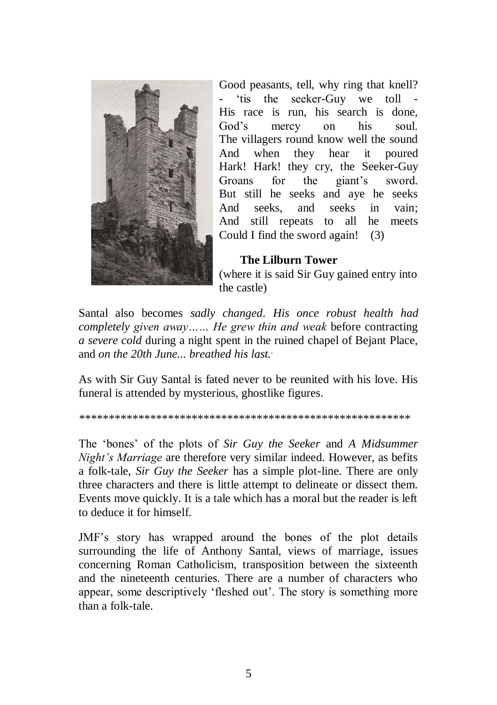

Good peasants, tell, why ring that knell? 'tis the seeker-Guy we toll -His race is run, his search is done, God's mercy on his soul. The villagers round know well the sound And when they hear it poured Hark! Hark! they cry, the Seeker-Guy Groans for the giant's sword. But still he seeks and aye he seeks And seeks, and seeks in vain; And still repeats to all he meets Could I find the sword again! (3)

#### **The Lilburn Tower**

(where it is said Sir Guy gained entry into the castle)

Santal also becomes *sadly changed*. *His once robust health had completely given away…… He grew thin and weak* before contracting *a severe cold* during a night spent in the ruined chapel of Bejant Place, and *on the 20th June... breathed his last..* 

As with Sir Guy Santal is fated never to be reunited with his love. His funeral is attended by mysterious, ghostlike figures.

*\*\*\*\*\*\*\*\*\*\*\*\*\*\*\*\*\*\*\*\*\*\*\*\*\*\*\*\*\*\*\*\*\*\*\*\*\*\*\*\*\*\*\*\*\*\*\*\*\*\*\*\*\*\*\*\**

The 'bones' of the plots of *Sir Guy the Seeker* and *A Midsummer Night's Marriage* are therefore very similar indeed. However, as befits a folk-tale, *Sir Guy the Seeker* has a simple plot-line. There are only three characters and there is little attempt to delineate or dissect them. Events move quickly. It is a tale which has a moral but the reader is left to deduce it for himself.

JMF's story has wrapped around the bones of the plot details surrounding the life of Anthony Santal, views of marriage, issues concerning Roman Catholicism, transposition between the sixteenth and the nineteenth centuries. There are a number of characters who appear, some descriptively 'fleshed out'. The story is something more than a folk-tale.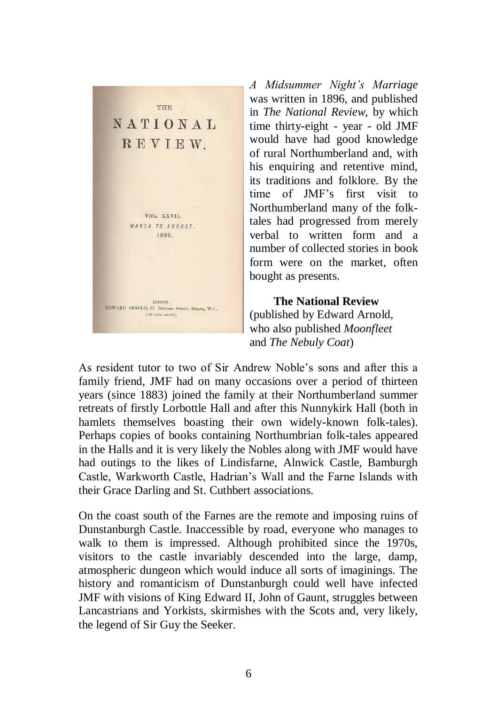

*A Midsummer Night's Marriage* was written in 1896, and published in *The National Review,* by which time thirty-eight - year - old JMF would have had good knowledge of rural Northumberland and, with his enquiring and retentive mind, its traditions and folklore. By the time of JMF's first visit to Northumberland many of the folktales had progressed from merely verbal to written form and a number of collected stories in book form were on the market, often bought as presents.

 **The National Review** (published by Edward Arnold, who also published *Moonfleet* and *The Nebuly Coat*)

As resident tutor to two of Sir Andrew Noble's sons and after this a family friend, JMF had on many occasions over a period of thirteen years (since 1883) joined the family at their Northumberland summer retreats of firstly Lorbottle Hall and after this Nunnykirk Hall (both in hamlets themselves boasting their own widely-known folk-tales). Perhaps copies of books containing Northumbrian folk-tales appeared in the Halls and it is very likely the Nobles along with JMF would have had outings to the likes of Lindisfarne, Alnwick Castle, Bamburgh Castle, Warkworth Castle, Hadrian's Wall and the Farne Islands with their Grace Darling and St. Cuthbert associations.

On the coast south of the Farnes are the remote and imposing ruins of Dunstanburgh Castle. Inaccessible by road, everyone who manages to walk to them is impressed. Although prohibited since the 1970s, visitors to the castle invariably descended into the large, damp, atmospheric dungeon which would induce all sorts of imaginings. The history and romanticism of Dunstanburgh could well have infected JMF with visions of King Edward II, John of Gaunt, struggles between Lancastrians and Yorkists, skirmishes with the Scots and, very likely, the legend of Sir Guy the Seeker.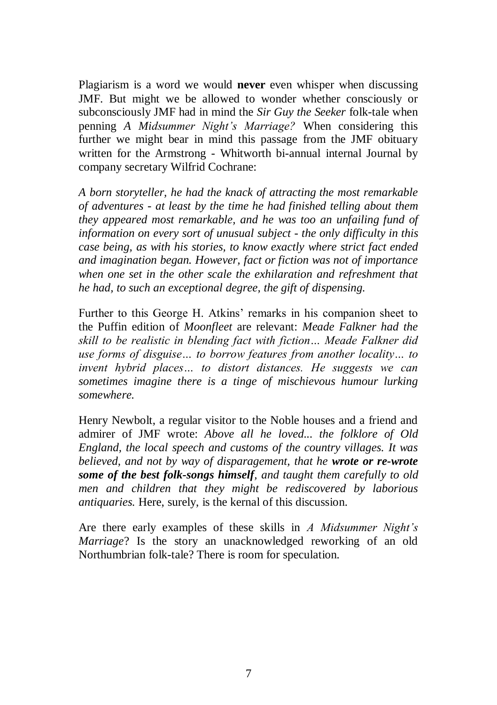Plagiarism is a word we would **never** even whisper when discussing JMF. But might we be allowed to wonder whether consciously or subconsciously JMF had in mind the *Sir Guy the Seeker* folk-tale when penning *A Midsummer Night's Marriage?* When considering this further we might bear in mind this passage from the JMF obituary written for the Armstrong - Whitworth bi-annual internal Journal by company secretary Wilfrid Cochrane:

*A born storyteller, he had the knack of attracting the most remarkable of adventures - at least by the time he had finished telling about them they appeared most remarkable, and he was too an unfailing fund of information on every sort of unusual subject - the only difficulty in this case being, as with his stories, to know exactly where strict fact ended and imagination began. However, fact or fiction was not of importance when one set in the other scale the exhilaration and refreshment that he had, to such an exceptional degree, the gift of dispensing.*

Further to this George H. Atkins' remarks in his companion sheet to the Puffin edition of *Moonfleet* are relevant: *Meade Falkner had the skill to be realistic in blending fact with fiction… Meade Falkner did use forms of disguise… to borrow features from another locality… to invent hybrid places… to distort distances. He suggests we can sometimes imagine there is a tinge of mischievous humour lurking somewhere.*

Henry Newbolt, a regular visitor to the Noble houses and a friend and admirer of JMF wrote: *Above all he loved... the folklore of Old England, the local speech and customs of the country villages. It was believed, and not by way of disparagement, that he wrote or re-wrote some of the best folk-songs himself, and taught them carefully to old men and children that they might be rediscovered by laborious antiquaries.* Here, surely, is the kernal of this discussion.

Are there early examples of these skills in *A Midsummer Night's Marriage*? Is the story an unacknowledged reworking of an old Northumbrian folk-tale? There is room for speculation.